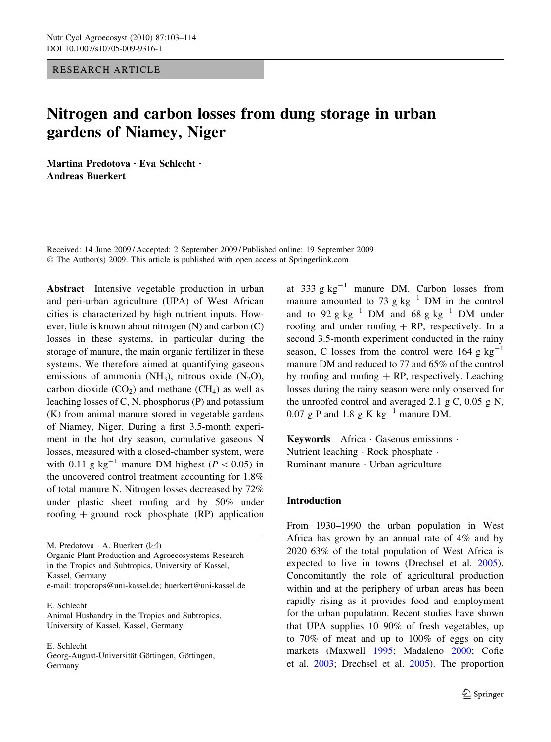RESEARCH ARTICLE

# Nitrogen and carbon losses from dung storage in urban gardens of Niamey, Niger

Martina Predotova · Eva Schlecht · Andreas Buerkert

Received: 14 June 2009 / Accepted: 2 September 2009 / Published online: 19 September 2009 © The Author(s) 2009. This article is published with open access at Springerlink.com

Abstract Intensive vegetable production in urban and peri-urban agriculture (UPA) of West African cities is characterized by high nutrient inputs. However, little is known about nitrogen (N) and carbon (C) losses in these systems, in particular during the storage of manure, the main organic fertilizer in these systems. We therefore aimed at quantifying gaseous emissions of ammonia (NH<sub>3</sub>), nitrous oxide (N<sub>2</sub>O), carbon dioxide  $(CO<sub>2</sub>)$  and methane  $(CH<sub>4</sub>)$  as well as leaching losses of C, N, phosphorus (P) and potassium (K) from animal manure stored in vegetable gardens of Niamey, Niger. During a first 3.5-month experiment in the hot dry season, cumulative gaseous N losses, measured with a closed-chamber system, were with 0.11 g kg<sup>-1</sup> manure DM highest ( $P < 0.05$ ) in the uncovered control treatment accounting for 1.8% of total manure N. Nitrogen losses decreased by 72% under plastic sheet roofing and by 50% under roofing  $+$  ground rock phosphate (RP) application

M. Predotova  $\cdot$  A. Buerkert ( $\boxtimes$ )

Organic Plant Production and Agroecosystems Research in the Tropics and Subtropics, University of Kassel, Kassel, Germany

e-mail: tropcrops@uni-kassel.de; buerkert@uni-kassel.de

E. Schlecht Animal Husbandry in the Tropics and Subtropics, University of Kassel, Kassel, Germany

E. Schlecht

Georg-August-Universität Göttingen, Göttingen, Germany

at 333 g  $kg^{-1}$  manure DM. Carbon losses from manure amounted to 73 g  $kg^{-1}$  DM in the control and to 92 g  $kg^{-1}$  DM and 68 g  $kg^{-1}$  DM under roofing and under roofing  $+ RP$ , respectively. In a second 3.5-month experiment conducted in the rainy season, C losses from the control were  $164 \text{ g kg}^{-1}$ manure DM and reduced to 77 and 65% of the control by roofing and roofing  $+$  RP, respectively. Leaching losses during the rainy season were only observed for the unroofed control and averaged 2.1 g C, 0.05 g N, 0.07 g P and 1.8 g K  $kg^{-1}$  manure DM.

Keywords Africa - Gaseous emissions - Nutrient leaching · Rock phosphate · Ruminant manure - Urban agriculture

# Introduction

From 1930–1990 the urban population in West Africa has grown by an annual rate of 4% and by 2020 63% of the total population of West Africa is expected to live in towns (Drechsel et al. [2005](#page-10-0)). Concomitantly the role of agricultural production within and at the periphery of urban areas has been rapidly rising as it provides food and employment for the urban population. Recent studies have shown that UPA supplies 10–90% of fresh vegetables, up to 70% of meat and up to 100% of eggs on city markets (Maxwell [1995;](#page-11-0) Madaleno [2000](#page-11-0); Cofie et al. [2003;](#page-10-0) Drechsel et al. [2005\)](#page-10-0). The proportion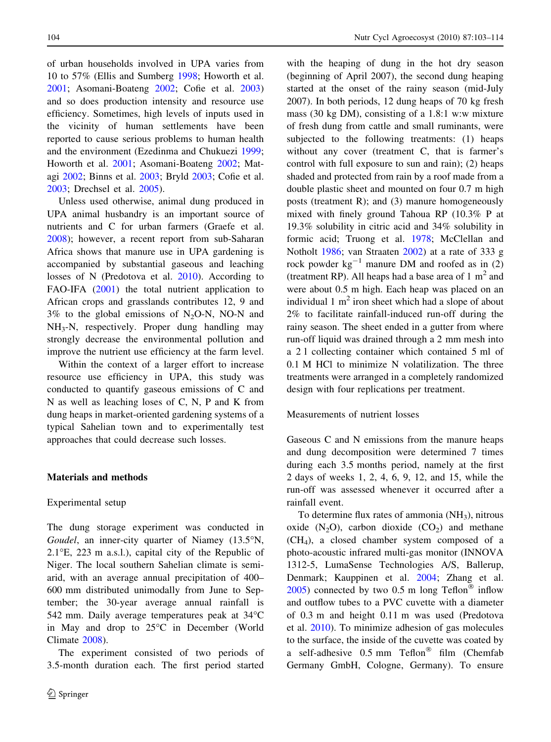of urban households involved in UPA varies from 10 to 57% (Ellis and Sumberg [1998](#page-10-0); Howorth et al. [2001;](#page-11-0) Asomani-Boateng [2002;](#page-10-0) Cofie et al. [2003\)](#page-10-0) and so does production intensity and resource use efficiency. Sometimes, high levels of inputs used in the vicinity of human settlements have been reported to cause serious problems to human health and the environment (Ezedinma and Chukuezi [1999](#page-11-0); Howorth et al. [2001;](#page-11-0) Asomani-Boateng [2002;](#page-10-0) Matagi [2002](#page-11-0); Binns et al. [2003;](#page-10-0) Bryld [2003;](#page-10-0) Cofie et al. [2003;](#page-10-0) Drechsel et al. [2005](#page-10-0)).

Unless used otherwise, animal dung produced in UPA animal husbandry is an important source of nutrients and C for urban farmers (Graefe et al. [2008\)](#page-11-0); however, a recent report from sub-Saharan Africa shows that manure use in UPA gardening is accompanied by substantial gaseous and leaching losses of N (Predotova et al. [2010](#page-11-0)). According to FAO-IFA [\(2001](#page-11-0)) the total nutrient application to African crops and grasslands contributes 12, 9 and 3% to the global emissions of N<sub>2</sub>O-N, NO-N and NH3-N, respectively. Proper dung handling may strongly decrease the environmental pollution and improve the nutrient use efficiency at the farm level.

Within the context of a larger effort to increase resource use efficiency in UPA, this study was conducted to quantify gaseous emissions of C and N as well as leaching loses of C, N, P and K from dung heaps in market-oriented gardening systems of a typical Sahelian town and to experimentally test approaches that could decrease such losses.

## Materials and methods

#### Experimental setup

The dung storage experiment was conducted in Goudel, an inner-city quarter of Niamey (13.5°N,  $2.1^{\circ}$ E,  $223$  m a.s.l.), capital city of the Republic of Niger. The local southern Sahelian climate is semiarid, with an average annual precipitation of 400– 600 mm distributed unimodally from June to September; the 30-year average annual rainfall is 542 mm. Daily average temperatures peak at  $34^{\circ}$ C in May and drop to  $25^{\circ}$ C in December (World Climate [2008\)](#page-11-0).

The experiment consisted of two periods of 3.5-month duration each. The first period started

with the heaping of dung in the hot dry season (beginning of April 2007), the second dung heaping started at the onset of the rainy season (mid-July 2007). In both periods, 12 dung heaps of 70 kg fresh mass (30 kg DM), consisting of a 1.8:1 w:w mixture of fresh dung from cattle and small ruminants, were subjected to the following treatments: (1) heaps without any cover (treatment C, that is farmer's control with full exposure to sun and rain); (2) heaps shaded and protected from rain by a roof made from a double plastic sheet and mounted on four 0.7 m high posts (treatment R); and (3) manure homogeneously mixed with finely ground Tahoua RP (10.3% P at 19.3% solubility in citric acid and 34% solubility in formic acid; Truong et al. [1978](#page-11-0); McClellan and Notholt [1986](#page-11-0); van Straaten [2002](#page-11-0)) at a rate of 333 g rock powder  $kg^{-1}$  manure DM and roofed as in (2) (treatment RP). All heaps had a base area of 1  $m<sup>2</sup>$  and were about 0.5 m high. Each heap was placed on an individual 1  $m<sup>2</sup>$  iron sheet which had a slope of about 2% to facilitate rainfall-induced run-off during the rainy season. The sheet ended in a gutter from where run-off liquid was drained through a 2 mm mesh into a 2 l collecting container which contained 5 ml of 0.1 M HCl to minimize N volatilization. The three treatments were arranged in a completely randomized design with four replications per treatment.

#### Measurements of nutrient losses

Gaseous C and N emissions from the manure heaps and dung decomposition were determined 7 times during each 3.5 months period, namely at the first 2 days of weeks 1, 2, 4, 6, 9, 12, and 15, while the run-off was assessed whenever it occurred after a rainfall event.

To determine flux rates of ammonia  $(NH_3)$ , nitrous oxide  $(N_2O)$ , carbon dioxide  $(CO_2)$  and methane  $(CH<sub>4</sub>)$ , a closed chamber system composed of a photo-acoustic infrared multi-gas monitor (INNOVA 1312-5, LumaSense Technologies A/S, Ballerup, Denmark; Kauppinen et al. [2004;](#page-11-0) Zhang et al.  $2005$ ) connected by two 0.5 m long Teflon<sup>®</sup> inflow and outflow tubes to a PVC cuvette with a diameter of 0.3 m and height 0.11 m was used (Predotova et al. [2010](#page-11-0)). To minimize adhesion of gas molecules to the surface, the inside of the cuvette was coated by a self-adhesive  $0.5$  mm Teflon<sup>®</sup> film (Chemfab Germany GmbH, Cologne, Germany). To ensure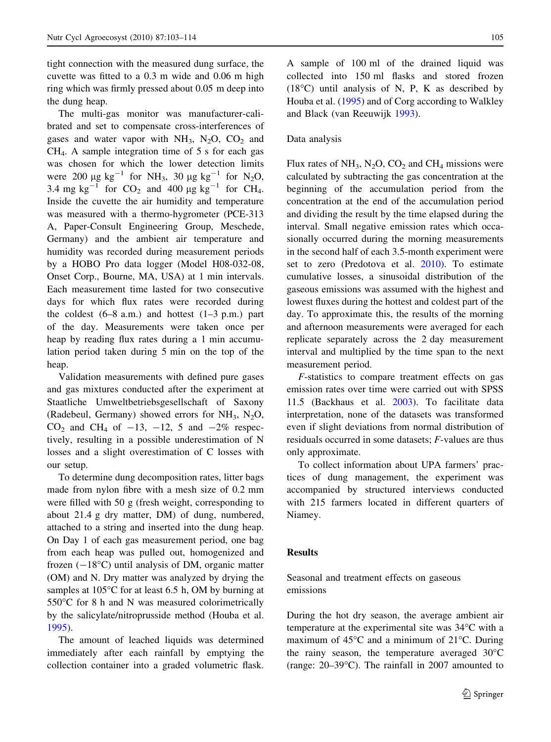tight connection with the measured dung surface, the cuvette was fitted to a 0.3 m wide and 0.06 m high ring which was firmly pressed about 0.05 m deep into the dung heap.

The multi-gas monitor was manufacturer-calibrated and set to compensate cross-interferences of gases and water vapor with  $NH_3$ ,  $N_2O$ ,  $CO_2$  and  $CH<sub>4</sub>$ . A sample integration time of 5 s for each gas was chosen for which the lower detection limits were 200  $\mu$ g kg<sup>-1</sup> for NH<sub>3</sub>, 30  $\mu$ g kg<sup>-1</sup> for N<sub>2</sub>O, 3.4 mg kg<sup>-1</sup> for  $CO_2$  and 400  $\mu$ g kg<sup>-1</sup> for CH<sub>4</sub>. Inside the cuvette the air humidity and temperature was measured with a thermo-hygrometer (PCE-313 A, Paper-Consult Engineering Group, Meschede, Germany) and the ambient air temperature and humidity was recorded during measurement periods by a HOBO Pro data logger (Model H08-032-08, Onset Corp., Bourne, MA, USA) at 1 min intervals. Each measurement time lasted for two consecutive days for which flux rates were recorded during the coldest  $(6–8 a.m.)$  and hottest  $(1–3 p.m.)$  part of the day. Measurements were taken once per heap by reading flux rates during a 1 min accumulation period taken during 5 min on the top of the heap.

Validation measurements with defined pure gases and gas mixtures conducted after the experiment at Staatliche Umweltbetriebsgesellschaft of Saxony (Radebeul, Germany) showed errors for  $NH_3$ , N<sub>2</sub>O,  $CO<sub>2</sub>$  and  $CH<sub>4</sub>$  of  $-13$ ,  $-12$ , 5 and  $-2\%$  respectively, resulting in a possible underestimation of N losses and a slight overestimation of C losses with our setup.

To determine dung decomposition rates, litter bags made from nylon fibre with a mesh size of 0.2 mm were filled with 50 g (fresh weight, corresponding to about 21.4 g dry matter, DM) of dung, numbered, attached to a string and inserted into the dung heap. On Day 1 of each gas measurement period, one bag from each heap was pulled out, homogenized and frozen  $(-18^{\circ}C)$  until analysis of DM, organic matter (OM) and N. Dry matter was analyzed by drying the samples at  $105^{\circ}$ C for at least 6.5 h, OM by burning at  $550^{\circ}$ C for 8 h and N was measured colorimetrically by the salicylate/nitroprusside method (Houba et al. [1995\)](#page-11-0).

The amount of leached liquids was determined immediately after each rainfall by emptying the collection container into a graded volumetric flask. A sample of 100 ml of the drained liquid was collected into 150 ml flasks and stored frozen  $(18^{\circ}C)$  until analysis of N, P, K as described by Houba et al. ([1995\)](#page-11-0) and of Corg according to Walkley and Black (van Reeuwijk [1993](#page-11-0)).

## Data analysis

Flux rates of  $NH_3$ ,  $N_2O$ ,  $CO_2$  and  $CH_4$  missions were calculated by subtracting the gas concentration at the beginning of the accumulation period from the concentration at the end of the accumulation period and dividing the result by the time elapsed during the interval. Small negative emission rates which occasionally occurred during the morning measurements in the second half of each 3.5-month experiment were set to zero (Predotova et al. [2010\)](#page-11-0). To estimate cumulative losses, a sinusoidal distribution of the gaseous emissions was assumed with the highest and lowest fluxes during the hottest and coldest part of the day. To approximate this, the results of the morning and afternoon measurements were averaged for each replicate separately across the 2 day measurement interval and multiplied by the time span to the next measurement period.

F-statistics to compare treatment effects on gas emission rates over time were carried out with SPSS 11.5 (Backhaus et al. [2003](#page-10-0)). To facilitate data interpretation, none of the datasets was transformed even if slight deviations from normal distribution of residuals occurred in some datasets; F-values are thus only approximate.

To collect information about UPA farmers' practices of dung management, the experiment was accompanied by structured interviews conducted with 215 farmers located in different quarters of Niamey.

# Results

Seasonal and treatment effects on gaseous emissions

During the hot dry season, the average ambient air temperature at the experimental site was  $34^{\circ}$ C with a maximum of  $45^{\circ}$ C and a minimum of  $21^{\circ}$ C. During the rainy season, the temperature averaged  $30^{\circ}$ C (range:  $20-39$ °C). The rainfall in 2007 amounted to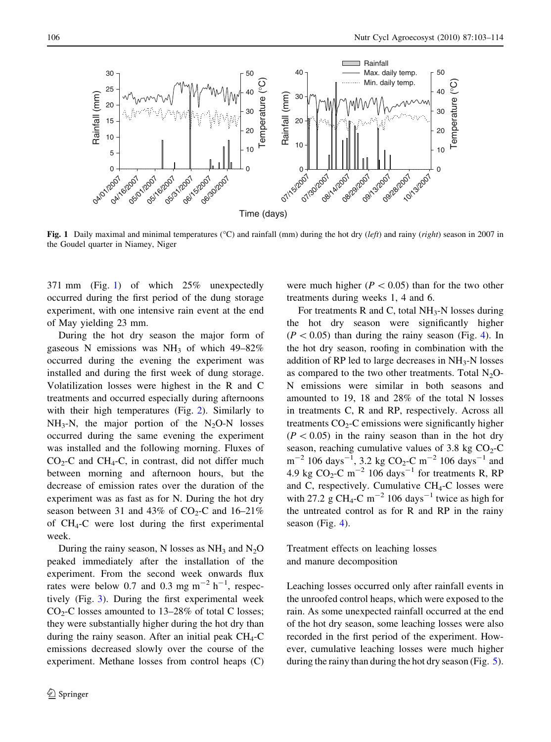

Fig. 1 Daily maximal and minimal temperatures (°C) and rainfall (mm) during the hot dry (left) and rainy (right) season in 2007 in the Goudel quarter in Niamey, Niger

371 mm (Fig. 1) of which 25% unexpectedly occurred during the first period of the dung storage experiment, with one intensive rain event at the end of May yielding 23 mm.

During the hot dry season the major form of gaseous N emissions was NH<sub>3</sub> of which  $49-82\%$ occurred during the evening the experiment was installed and during the first week of dung storage. Volatilization losses were highest in the R and C treatments and occurred especially during afternoons with their high temperatures (Fig. [2\)](#page-4-0). Similarly to  $NH<sub>3</sub>-N$ , the major portion of the N<sub>2</sub>O-N losses occurred during the same evening the experiment was installed and the following morning. Fluxes of  $CO<sub>2</sub>-C$  and  $CH<sub>4</sub>-C$ , in contrast, did not differ much between morning and afternoon hours, but the decrease of emission rates over the duration of the experiment was as fast as for N. During the hot dry season between 31 and 43% of  $CO<sub>2</sub>-C$  and 16–21% of CH4-C were lost during the first experimental week.

During the rainy season, N losses as  $NH_3$  and  $N_2O$ peaked immediately after the installation of the experiment. From the second week onwards flux rates were below 0.7 and 0.3 mg  $m^{-2}$  h<sup>-1</sup>, respectively (Fig. [3\)](#page-5-0). During the first experimental week  $CO<sub>2</sub>$ -C losses amounted to 13–28% of total C losses; they were substantially higher during the hot dry than during the rainy season. After an initial peak  $CH_4$ -C emissions decreased slowly over the course of the experiment. Methane losses from control heaps (C) were much higher ( $P < 0.05$ ) than for the two other treatments during weeks 1, 4 and 6.

For treatments R and C, total  $NH<sub>3</sub>-N$  losses during the hot dry season were significantly higher  $(P<0.05)$  than during the rainy season (Fig. [4](#page-6-0)). In the hot dry season, roofing in combination with the addition of RP led to large decreases in  $NH<sub>3</sub>-N$  losses as compared to the two other treatments. Total  $N_2O$ -N emissions were similar in both seasons and amounted to 19, 18 and 28% of the total N losses in treatments C, R and RP, respectively. Across all treatments  $CO<sub>2</sub>-C$  emissions were significantly higher  $(P<0.05)$  in the rainy season than in the hot dry season, reaching cumulative values of 3.8 kg  $CO<sub>2</sub>-C$  $m^{-2}$  106 days<sup>-1</sup>, 3.2 kg CO<sub>2</sub>-C m<sup>-2</sup> 106 days<sup>-1</sup> and 4.9 kg  $CO_2$ -C m<sup>-2</sup> 106 days<sup>-1</sup> for treatments R, RP and C, respectively. Cumulative  $CH_4$ -C losses were with 27.2 g CH<sub>4</sub>-C m<sup>-2</sup> 106 days<sup>-1</sup> twice as high for the untreated control as for R and RP in the rainy season (Fig. [4](#page-6-0)).

Treatment effects on leaching losses and manure decomposition

Leaching losses occurred only after rainfall events in the unroofed control heaps, which were exposed to the rain. As some unexpected rainfall occurred at the end of the hot dry season, some leaching losses were also recorded in the first period of the experiment. However, cumulative leaching losses were much higher during the rainy than during the hot dry season (Fig. [5](#page-6-0)).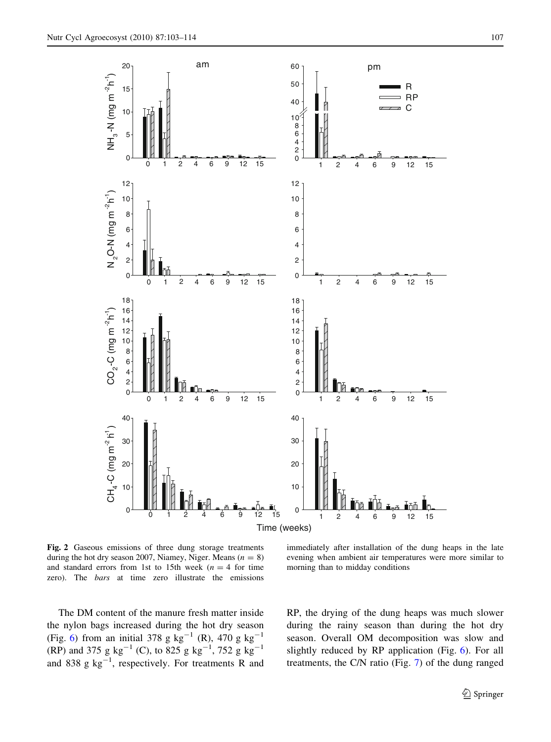<span id="page-4-0"></span>

Fig. 2 Gaseous emissions of three dung storage treatments during the hot dry season 2007, Niamey, Niger. Means  $(n = 8)$ and standard errors from 1st to 15th week ( $n = 4$  for time zero). The bars at time zero illustrate the emissions

The DM content of the manure fresh matter inside the nylon bags increased during the hot dry season (Fig. [6](#page-7-0)) from an initial 378 g kg<sup>-1</sup> (R), 470 g kg<sup>-1</sup> (RP) and 375 g  $kg^{-1}$  (C), to 825 g  $kg^{-1}$ , 752 g  $kg^{-1}$ and 838 g  $kg^{-1}$ , respectively. For treatments R and

immediately after installation of the dung heaps in the late evening when ambient air temperatures were more similar to morning than to midday conditions

RP, the drying of the dung heaps was much slower during the rainy season than during the hot dry season. Overall OM decomposition was slow and slightly reduced by RP application (Fig. [6](#page-7-0)). For all treatments, the C/N ratio (Fig. [7\)](#page-7-0) of the dung ranged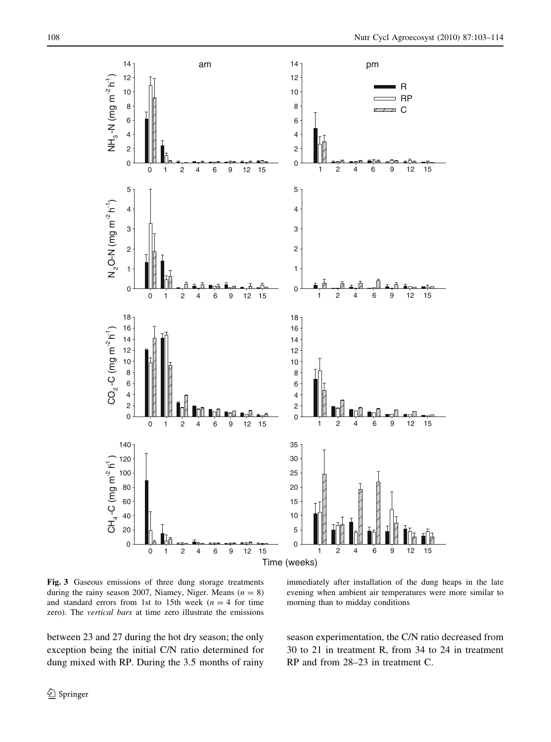<span id="page-5-0"></span>

Fig. 3 Gaseous emissions of three dung storage treatments during the rainy season 2007, Niamey, Niger. Means  $(n = 8)$ and standard errors from 1st to 15th week ( $n = 4$  for time zero). The vertical bars at time zero illustrate the emissions

immediately after installation of the dung heaps in the late evening when ambient air temperatures were more similar to morning than to midday conditions

between 23 and 27 during the hot dry season; the only exception being the initial C/N ratio determined for dung mixed with RP. During the 3.5 months of rainy season experimentation, the C/N ratio decreased from 30 to 21 in treatment R, from 34 to 24 in treatment RP and from 28–23 in treatment C.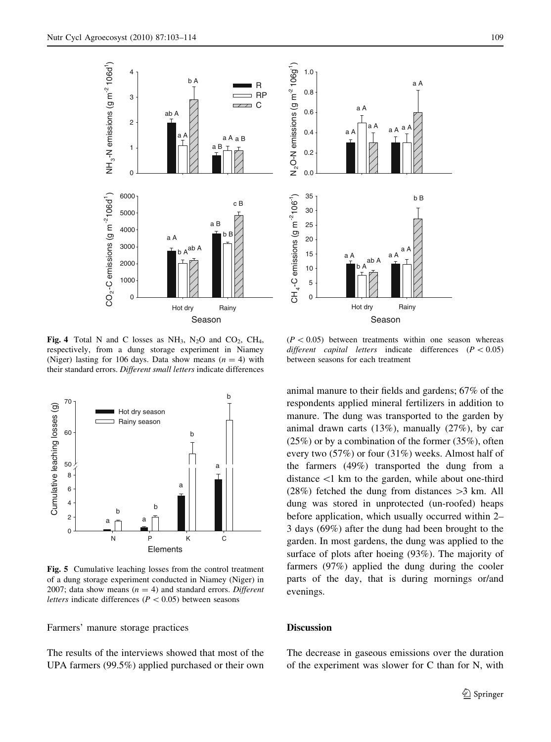<span id="page-6-0"></span>

Fig. 4 Total N and C losses as  $NH_3$ , N<sub>2</sub>O and CO<sub>2</sub>, CH<sub>4</sub>, respectively, from a dung storage experiment in Niamey (Niger) lasting for 106 days. Data show means  $(n = 4)$  with their standard errors. Different small letters indicate differences



Fig. 5 Cumulative leaching losses from the control treatment of a dung storage experiment conducted in Niamey (Niger) in 2007; data show means  $(n = 4)$  and standard errors. Different *letters* indicate differences ( $P < 0.05$ ) between seasons

Farmers' manure storage practices

The results of the interviews showed that most of the UPA farmers (99.5%) applied purchased or their own

 $(P < 0.05)$  between treatments within one season whereas different capital letters indicate differences  $(P < 0.05)$ between seasons for each treatment

animal manure to their fields and gardens; 67% of the respondents applied mineral fertilizers in addition to manure. The dung was transported to the garden by animal drawn carts (13%), manually (27%), by car  $(25\%)$  or by a combination of the former  $(35\%)$ , often every two (57%) or four (31%) weeks. Almost half of the farmers (49%) transported the dung from a distance  $\leq 1$  km to the garden, while about one-third (28%) fetched the dung from distances  $>3$  km. All dung was stored in unprotected (un-roofed) heaps before application, which usually occurred within 2– 3 days (69%) after the dung had been brought to the garden. In most gardens, the dung was applied to the surface of plots after hoeing (93%). The majority of farmers (97%) applied the dung during the cooler parts of the day, that is during mornings or/and evenings. of the experiment was slower for C than for N, with N O-N emissions (g m 106g ) 2 -2 -1

# **Discussion**

The decrease in gaseous emissions over the duration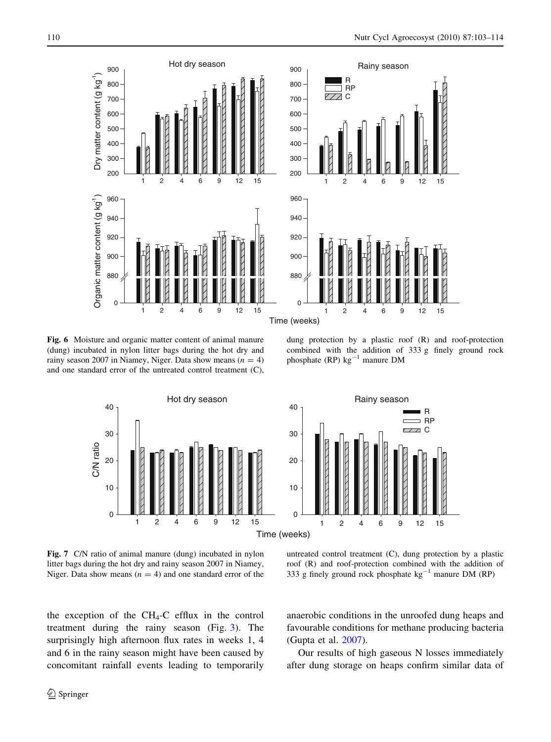<span id="page-7-0"></span>

Fig. 6 Moisture and organic matter content of animal manure (dung) incubated in nylon litter bags during the hot dry and rainy season 2007 in Niamey, Niger. Data show means  $(n = 4)$ and one standard error of the untreated control treatment (C),



dung protection by a plastic roof (R) and roof-protection combined with the addition of 333 g finely ground rock phosphate (RP)  $kg^{-1}$  manure DM



Fig. 7 C/N ratio of animal manure (dung) incubated in nylon litter bags during the hot dry and rainy season 2007 in Niamey, Niger. Data show means  $(n = 4)$  and one standard error of the

untreated control treatment (C), dung protection by a plastic roof (R) and roof-protection combined with the addition of 333 g finely ground rock phosphate  $kg^{-1}$  manure DM (RP)

the exception of the  $CH_4$ -C efflux in the control treatment during the rainy season (Fig. [3\)](#page-5-0). The surprisingly high afternoon flux rates in weeks 1, 4 and 6 in the rainy season might have been caused by concomitant rainfall events leading to temporarily anaerobic conditions in the unroofed dung heaps and favourable conditions for methane producing bacteria (Gupta et al. [2007\)](#page-11-0).

Our results of high gaseous N losses immediately after dung storage on heaps confirm similar data of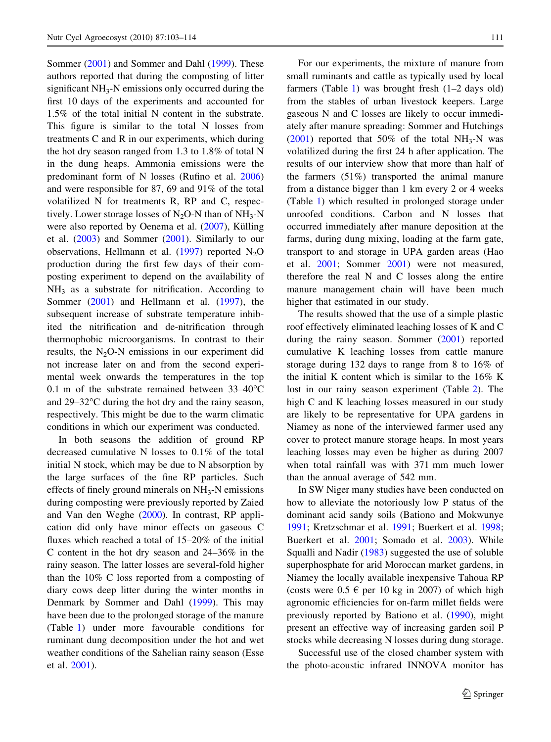Sommer ([2001\)](#page-11-0) and Sommer and Dahl ([1999\)](#page-11-0). These authors reported that during the composting of litter significant  $NH<sub>3</sub>-N$  emissions only occurred during the first 10 days of the experiments and accounted for 1.5% of the total initial N content in the substrate. This figure is similar to the total N losses from treatments C and R in our experiments, which during the hot dry season ranged from 1.3 to 1.8% of total N in the dung heaps. Ammonia emissions were the predominant form of N losses (Rufino et al. [2006\)](#page-11-0) and were responsible for 87, 69 and 91% of the total volatilized N for treatments R, RP and C, respectively. Lower storage losses of  $N_2O-N$  than of  $NH_3-N$ were also reported by Oenema et al.  $(2007)$  $(2007)$ , Külling et al. [\(2003](#page-11-0)) and Sommer ([2001](#page-11-0)). Similarly to our observations, Hellmann et al. [\(1997](#page-11-0)) reported  $N_2O$ production during the first few days of their composting experiment to depend on the availability of  $NH<sub>3</sub>$  as a substrate for nitrification. According to Sommer [\(2001](#page-11-0)) and Hellmann et al. [\(1997](#page-11-0)), the subsequent increase of substrate temperature inhibited the nitrification and de-nitrification through thermophobic microorganisms. In contrast to their results, the  $N_2O-N$  emissions in our experiment did not increase later on and from the second experimental week onwards the temperatures in the top 0.1 m of the substrate remained between  $33-40^{\circ}$ C and  $29-32$ °C during the hot dry and the rainy season, respectively. This might be due to the warm climatic conditions in which our experiment was conducted.

In both seasons the addition of ground RP decreased cumulative N losses to 0.1% of the total initial N stock, which may be due to N absorption by the large surfaces of the fine RP particles. Such effects of finely ground minerals on  $NH<sub>3</sub>-N$  emissions during composting were previously reported by Zaied and Van den Weghe [\(2000](#page-11-0)). In contrast, RP application did only have minor effects on gaseous C fluxes which reached a total of 15–20% of the initial C content in the hot dry season and 24–36% in the rainy season. The latter losses are several-fold higher than the 10% C loss reported from a composting of diary cows deep litter during the winter months in Denmark by Sommer and Dahl [\(1999\)](#page-11-0). This may have been due to the prolonged storage of the manure (Table [1](#page-9-0)) under more favourable conditions for ruminant dung decomposition under the hot and wet weather conditions of the Sahelian rainy season (Esse et al. [2001](#page-11-0)).

For our experiments, the mixture of manure from small ruminants and cattle as typically used by local farmers (Table [1\)](#page-9-0) was brought fresh (1–2 days old) from the stables of urban livestock keepers. Large gaseous N and C losses are likely to occur immediately after manure spreading: Sommer and Hutchings  $(2001)$  $(2001)$  reported that 50% of the total NH<sub>3</sub>-N was volatilized during the first 24 h after application. The results of our interview show that more than half of the farmers (51%) transported the animal manure from a distance bigger than 1 km every 2 or 4 weeks (Table [1](#page-9-0)) which resulted in prolonged storage under unroofed conditions. Carbon and N losses that occurred immediately after manure deposition at the farms, during dung mixing, loading at the farm gate, transport to and storage in UPA garden areas (Hao et al. [2001;](#page-11-0) Sommer [2001](#page-11-0)) were not measured, therefore the real N and C losses along the entire manure management chain will have been much higher that estimated in our study.

The results showed that the use of a simple plastic roof effectively eliminated leaching losses of K and C during the rainy season. Sommer [\(2001](#page-11-0)) reported cumulative K leaching losses from cattle manure storage during 132 days to range from 8 to 16% of the initial K content which is similar to the 16% K lost in our rainy season experiment (Table [2](#page-10-0)). The high C and K leaching losses measured in our study are likely to be representative for UPA gardens in Niamey as none of the interviewed farmer used any cover to protect manure storage heaps. In most years leaching losses may even be higher as during 2007 when total rainfall was with 371 mm much lower than the annual average of 542 mm.

In SW Niger many studies have been conducted on how to alleviate the notoriously low P status of the dominant acid sandy soils (Bationo and Mokwunye [1991;](#page-10-0) Kretzschmar et al. [1991](#page-11-0); Buerkert et al. [1998](#page-10-0); Buerkert et al. [2001](#page-10-0); Somado et al. [2003\)](#page-11-0). While Squalli and Nadir ([1983\)](#page-11-0) suggested the use of soluble superphosphate for arid Moroccan market gardens, in Niamey the locally available inexpensive Tahoua RP (costs were  $0.5 \in$  per 10 kg in 2007) of which high agronomic efficiencies for on-farm millet fields were previously reported by Bationo et al. [\(1990](#page-10-0)), might present an effective way of increasing garden soil P stocks while decreasing N losses during dung storage.

Successful use of the closed chamber system with the photo-acoustic infrared INNOVA monitor has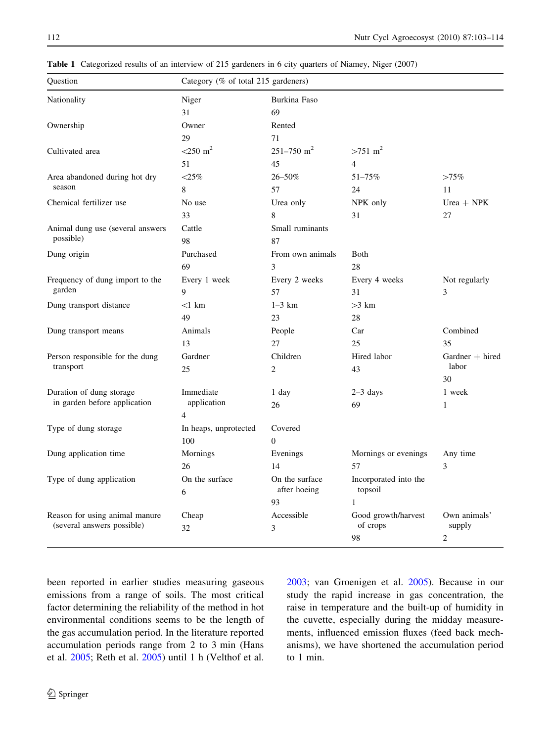| Question                         | Category (% of total 215 gardeners) |                                |                                                  |                            |  |  |  |
|----------------------------------|-------------------------------------|--------------------------------|--------------------------------------------------|----------------------------|--|--|--|
| Nationality                      | Burkina Faso<br>Niger               |                                |                                                  |                            |  |  |  |
|                                  | 31                                  | 69                             |                                                  |                            |  |  |  |
| Ownership                        | Owner                               | Rented                         |                                                  |                            |  |  |  |
|                                  | 29                                  | 71                             |                                                  |                            |  |  |  |
| Cultivated area                  | $<$ 250 m <sup>2</sup>              | $251 - 750$ m <sup>2</sup>     | $>751 \text{ m}^2$                               |                            |  |  |  |
|                                  | 51                                  | 45                             | 4                                                |                            |  |  |  |
| Area abandoned during hot dry    | $<$ 25%                             | 26-50%                         | 51-75%                                           | $>75\%$                    |  |  |  |
| season                           | 8                                   | 57                             | 24                                               | 11                         |  |  |  |
| Chemical fertilizer use          | No use                              | Urea only                      | NPK only                                         | Urea $+$ NPK               |  |  |  |
|                                  | 33                                  | 8                              | 31                                               | 27                         |  |  |  |
| Animal dung use (several answers | Cattle                              | Small ruminants                |                                                  |                            |  |  |  |
| possible)                        | 98                                  | 87                             |                                                  |                            |  |  |  |
| Dung origin                      | Purchased                           | From own animals               |                                                  |                            |  |  |  |
|                                  | 69                                  | 3                              | 28                                               |                            |  |  |  |
| Frequency of dung import to the  | Every 1 week                        | Every 2 weeks                  | Every 4 weeks                                    | Not regularly              |  |  |  |
| garden                           | 9                                   | 57                             | 31                                               | 3                          |  |  |  |
| Dung transport distance          | $<1$ km                             | $1-3$ km<br>$>3$ km            |                                                  |                            |  |  |  |
|                                  | 49                                  | 23                             | 28                                               |                            |  |  |  |
| Dung transport means             | Animals                             | People<br>Car                  |                                                  | Combined                   |  |  |  |
|                                  | 13                                  | 27                             | 25                                               | 35                         |  |  |  |
| Person responsible for the dung  | Gardner                             | Children                       | Hired labor                                      | Gardner $+$ hired<br>labor |  |  |  |
| transport                        | 25                                  | 2                              | 43                                               |                            |  |  |  |
|                                  |                                     |                                |                                                  | 30                         |  |  |  |
| Duration of dung storage         | Immediate                           | 1 day                          | $2-3$ days                                       | 1 week                     |  |  |  |
| in garden before application     | application<br>$\overline{4}$       | 26                             | 69                                               | $\mathbf{1}$               |  |  |  |
|                                  |                                     |                                |                                                  |                            |  |  |  |
| Type of dung storage             | In heaps, unprotected               | Covered                        |                                                  |                            |  |  |  |
|                                  | 100                                 | $\overline{0}$                 |                                                  |                            |  |  |  |
| Dung application time            | Mornings                            | Evenings                       | Mornings or evenings                             | Any time                   |  |  |  |
|                                  | 26                                  | 14                             | 57                                               | 3                          |  |  |  |
| Type of dung application         | On the surface                      | On the surface<br>after hoeing | Incorporated into the<br>topsoil<br>$\mathbf{1}$ |                            |  |  |  |
|                                  | 6                                   | 93                             |                                                  |                            |  |  |  |
| Reason for using animal manure   | Cheap                               | Accessible                     | Good growth/harvest                              | Own animals'               |  |  |  |
| (several answers possible)       | 32                                  | 3                              | of crops                                         | supply                     |  |  |  |
|                                  |                                     |                                | 98                                               | $\overline{c}$             |  |  |  |

<span id="page-9-0"></span>Table 1 Categorized results of an interview of 215 gardeners in 6 city quarters of Niamey, Niger (2007)

been reported in earlier studies measuring gaseous emissions from a range of soils. The most critical factor determining the reliability of the method in hot environmental conditions seems to be the length of the gas accumulation period. In the literature reported accumulation periods range from 2 to 3 min (Hans et al. [2005;](#page-11-0) Reth et al. [2005\)](#page-11-0) until 1 h (Velthof et al. [2003;](#page-11-0) van Groenigen et al. [2005](#page-11-0)). Because in our study the rapid increase in gas concentration, the raise in temperature and the built-up of humidity in the cuvette, especially during the midday measurements, influenced emission fluxes (feed back mechanisms), we have shortened the accumulation period to 1 min.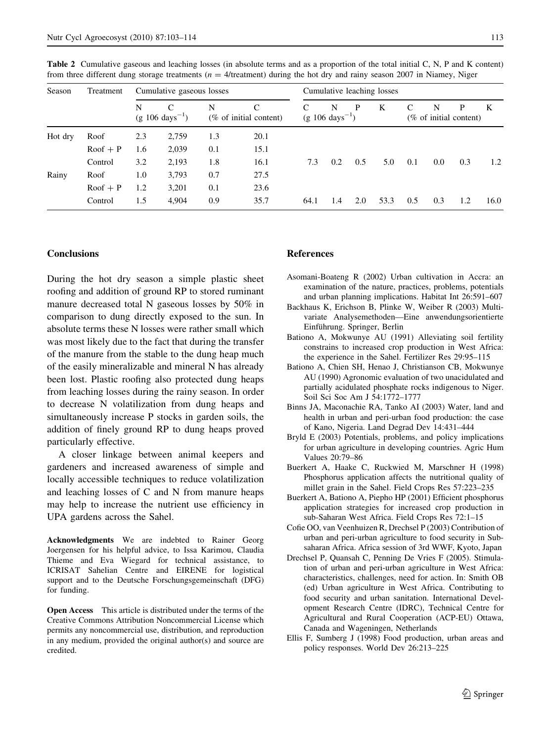| Season  | Treatment  | Cumulative gaseous losses |                                  |     | Cumulative leaching losses     |      |                                  |     |      |     |     |                             |      |
|---------|------------|---------------------------|----------------------------------|-----|--------------------------------|------|----------------------------------|-----|------|-----|-----|-----------------------------|------|
|         |            | N                         | C<br>$(g 106 \text{ days}^{-1})$ | N   | C<br>$(\%$ of initial content) | C    | N<br>$(g 106 \text{ days}^{-1})$ | P   | K    | C   | N   | P<br>(% of initial content) | K    |
| Hot dry | Roof       | 2.3                       | 2,759                            | 1.3 | 20.1                           |      |                                  |     |      |     |     |                             |      |
|         | $Root + P$ | 1.6                       | 2,039                            | 0.1 | 15.1                           |      |                                  |     |      |     |     |                             |      |
|         | Control    | 3.2                       | 2,193                            | 1.8 | 16.1                           | 7.3  | 0.2                              | 0.5 | 5.0  | 0.1 | 0.0 | 0.3                         | 1.2  |
| Rainy   | Roof       | 1.0                       | 3,793                            | 0.7 | 27.5                           |      |                                  |     |      |     |     |                             |      |
|         | $Root + P$ | 1.2                       | 3,201                            | 0.1 | 23.6                           |      |                                  |     |      |     |     |                             |      |
|         | Control    | 1.5                       | 4,904                            | 0.9 | 35.7                           | 64.1 | 1.4                              | 2.0 | 53.3 | 0.5 | 0.3 | 1.2                         | 16.0 |

<span id="page-10-0"></span>Table 2 Cumulative gaseous and leaching losses (in absolute terms and as a proportion of the total initial C, N, P and K content) from three different dung storage treatments ( $n = 4$ /treatment) during the hot dry and rainy season 2007 in Niamey, Niger

## Conclusions

During the hot dry season a simple plastic sheet roofing and addition of ground RP to stored ruminant manure decreased total N gaseous losses by 50% in comparison to dung directly exposed to the sun. In absolute terms these N losses were rather small which was most likely due to the fact that during the transfer of the manure from the stable to the dung heap much of the easily mineralizable and mineral N has already been lost. Plastic roofing also protected dung heaps from leaching losses during the rainy season. In order to decrease N volatilization from dung heaps and simultaneously increase P stocks in garden soils, the addition of finely ground RP to dung heaps proved particularly effective.

A closer linkage between animal keepers and gardeners and increased awareness of simple and locally accessible techniques to reduce volatilization and leaching losses of C and N from manure heaps may help to increase the nutrient use efficiency in UPA gardens across the Sahel.

Acknowledgments We are indebted to Rainer Georg Joergensen for his helpful advice, to Issa Karimou, Claudia Thieme and Eva Wiegard for technical assistance, to ICRISAT Sahelian Centre and EIRENE for logistical support and to the Deutsche Forschungsgemeinschaft (DFG) for funding.

Open Access This article is distributed under the terms of the Creative Commons Attribution Noncommercial License which permits any noncommercial use, distribution, and reproduction in any medium, provided the original author(s) and source are credited.

#### References

- Asomani-Boateng R (2002) Urban cultivation in Accra: an examination of the nature, practices, problems, potentials and urban planning implications. Habitat Int 26:591–607
- Backhaus K, Erichson B, Plinke W, Weiber R (2003) Multivariate Analysemethoden—Eine anwendungsorientierte Einführung. Springer, Berlin
- Bationo A, Mokwunye AU (1991) Alleviating soil fertility constrains to increased crop production in West Africa: the experience in the Sahel. Fertilizer Res 29:95–115
- Bationo A, Chien SH, Henao J, Christianson CB, Mokwunye AU (1990) Agronomic evaluation of two unacidulated and partially acidulated phosphate rocks indigenous to Niger. Soil Sci Soc Am J 54:1772–1777
- Binns JA, Maconachie RA, Tanko AI (2003) Water, land and health in urban and peri-urban food production: the case of Kano, Nigeria. Land Degrad Dev 14:431–444
- Bryld E (2003) Potentials, problems, and policy implications for urban agriculture in developing countries. Agric Hum Values 20:79–86
- Buerkert A, Haake C, Ruckwied M, Marschner H (1998) Phosphorus application affects the nutritional quality of millet grain in the Sahel. Field Crops Res 57:223–235
- Buerkert A, Bationo A, Piepho HP (2001) Efficient phosphorus application strategies for increased crop production in sub-Saharan West Africa. Field Crops Res 72:1–15
- Cofie OO, van Veenhuizen R, Drechsel P (2003) Contribution of urban and peri-urban agriculture to food security in Subsaharan Africa. Africa session of 3rd WWF, Kyoto, Japan
- Drechsel P, Quansah C, Penning De Vries F (2005). Stimulation of urban and peri-urban agriculture in West Africa: characteristics, challenges, need for action. In: Smith OB (ed) Urban agriculture in West Africa. Contributing to food security and urban sanitation. International Development Research Centre (IDRC), Technical Centre for Agricultural and Rural Cooperation (ACP-EU) Ottawa, Canada and Wageningen, Netherlands
- Ellis F, Sumberg J (1998) Food production, urban areas and policy responses. World Dev 26:213–225